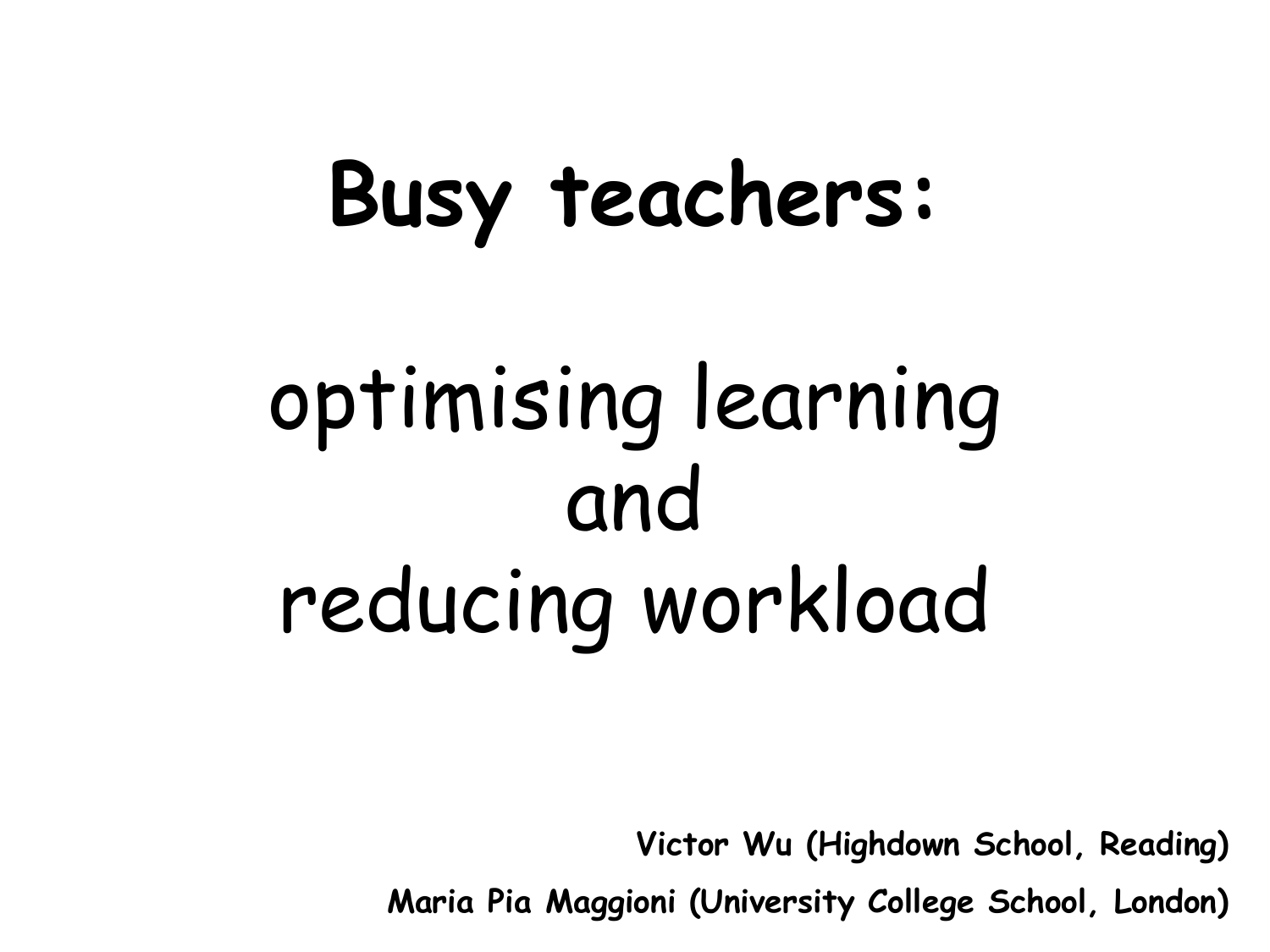## **Busy teachers:**

# optimising learning and reducing workload

**Victor Wu (Highdown School, Reading)**

**Maria Pia Maggioni (University College School, London)**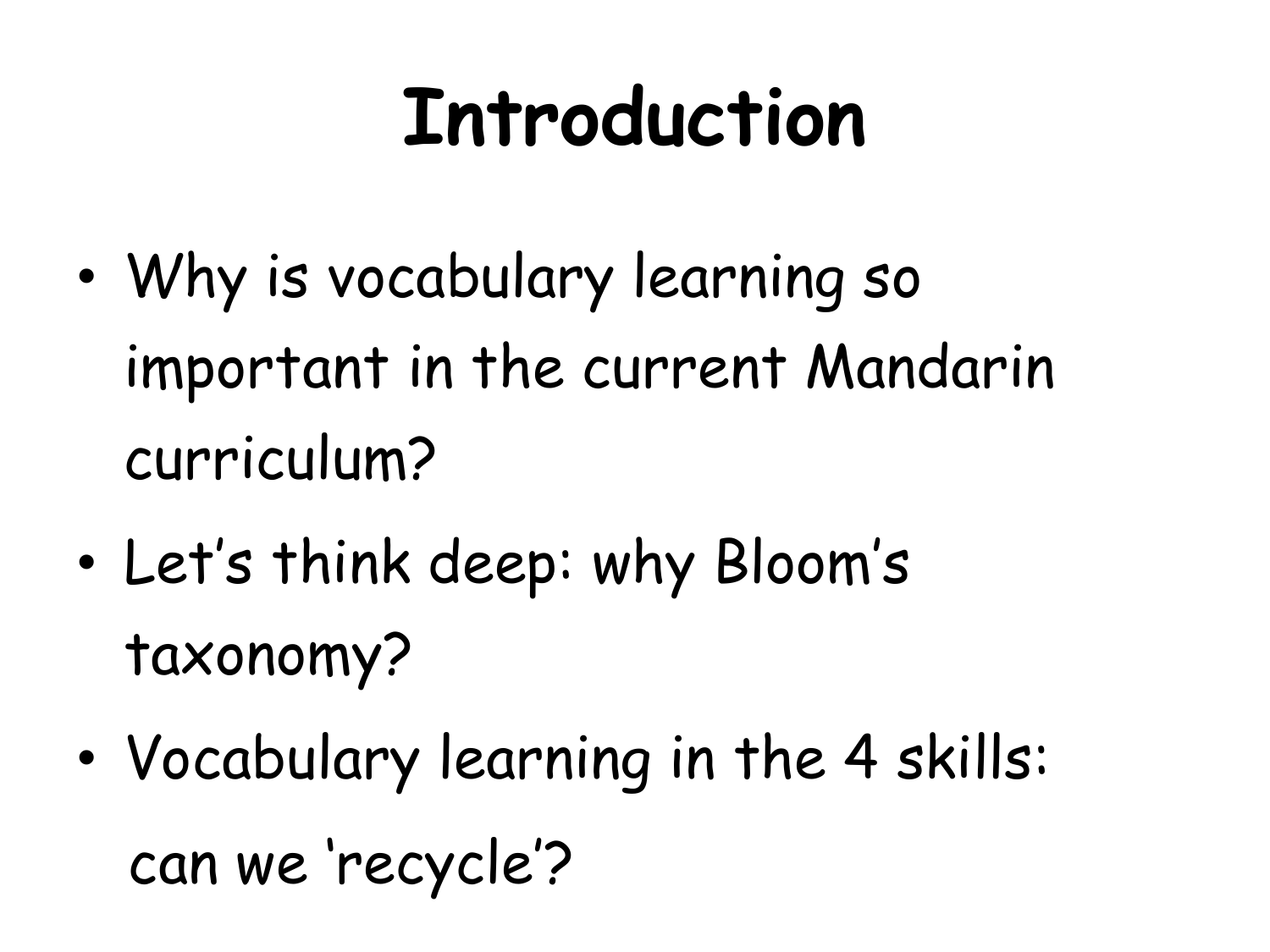### **Introduction**

- Why is vocabulary learning so important in the current Mandarin curriculum?
- Let's think deep: why Bloom's taxonomy?
- Vocabulary learning in the 4 skills: can we 'recycle'?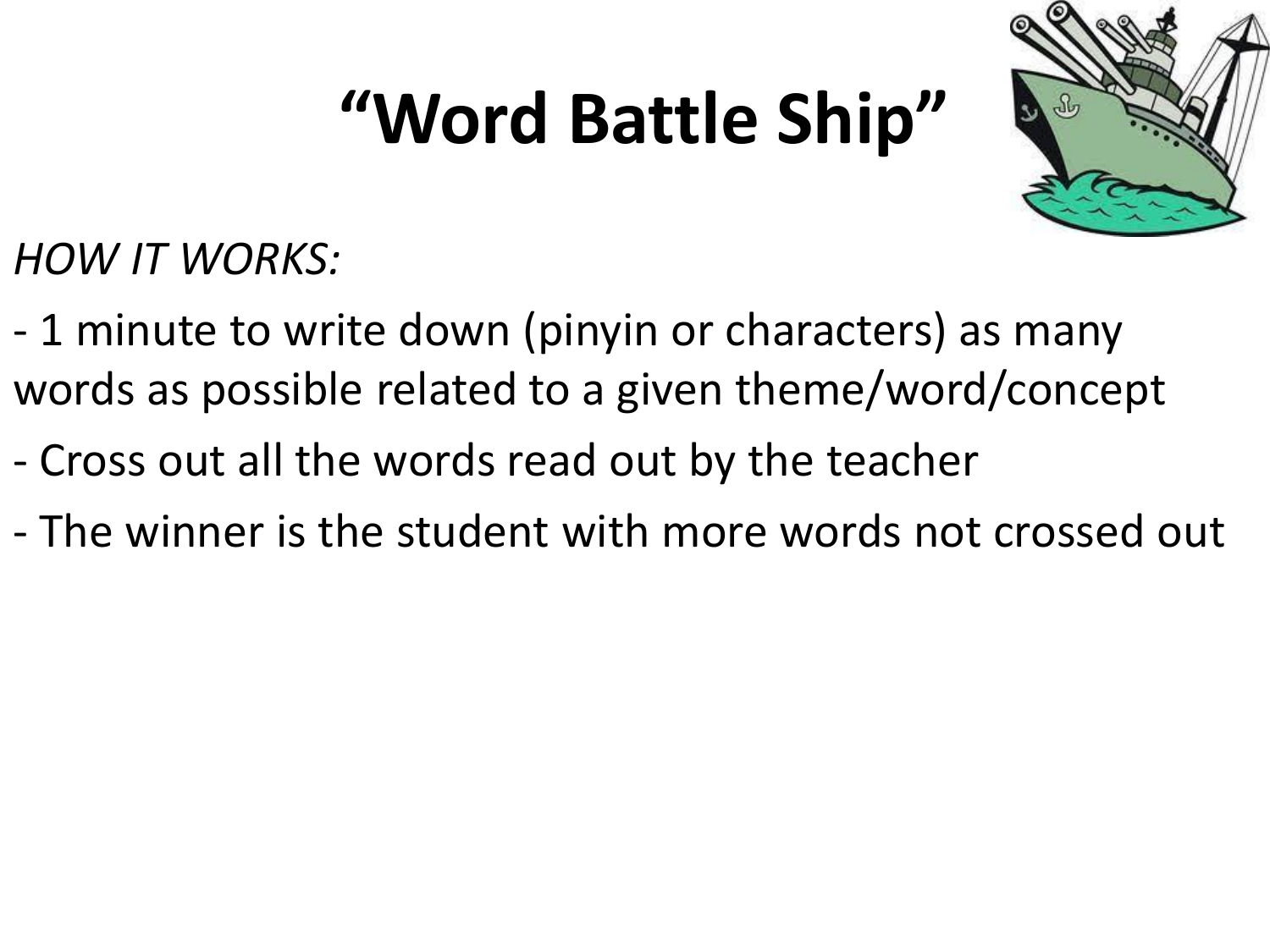### **"Word Battle Ship"**



*HOW IT WORKS:*

- 1 minute to write down (pinyin or characters) as many words as possible related to a given theme/word/concept
- Cross out all the words read out by the teacher
- The winner is the student with more words not crossed out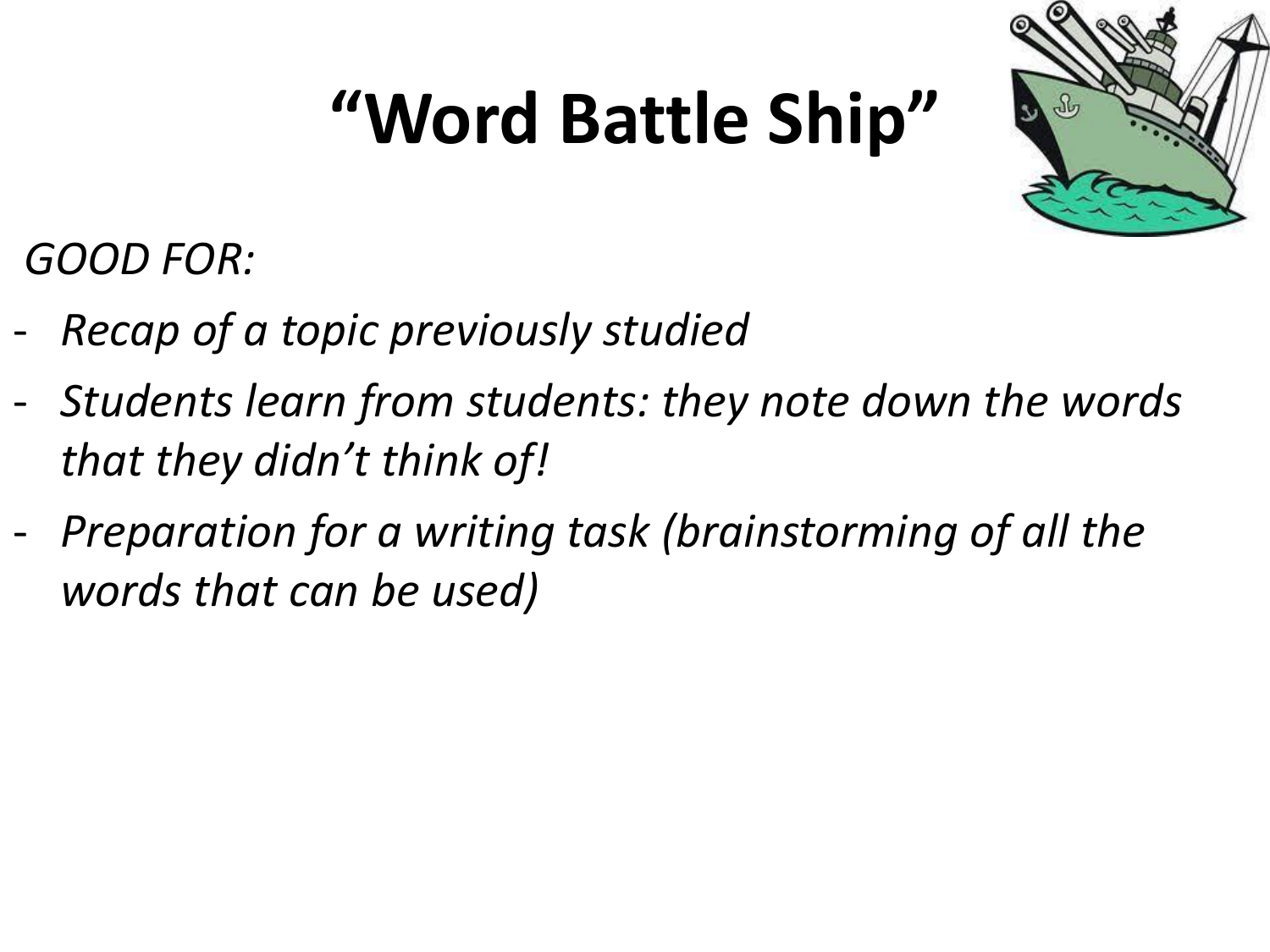### **"Word Battle Ship"**



*GOOD FOR:*

- *Recap of a topic previously studied*
- *Students learn from students: they note down the words that they didn't think of!*
- *Preparation for a writing task (brainstorming of all the words that can be used)*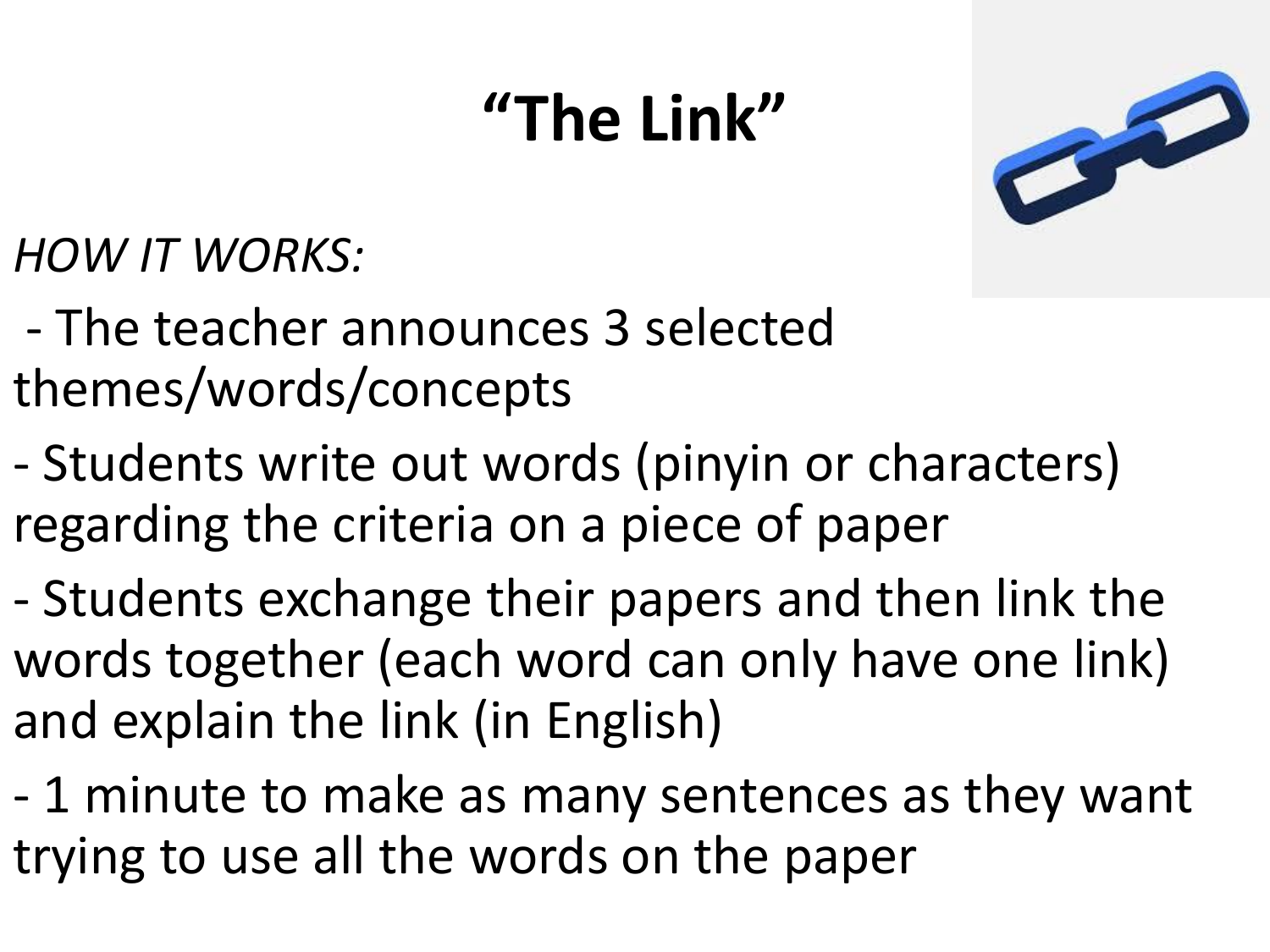#### **"The Link"**



*HOW IT WORKS:*

- The teacher announces 3 selected themes/words/concepts
- Students write out words (pinyin or characters) regarding the criteria on a piece of paper
- Students exchange their papers and then link the words together (each word can only have one link) and explain the link (in English)
- 1 minute to make as many sentences as they want trying to use all the words on the paper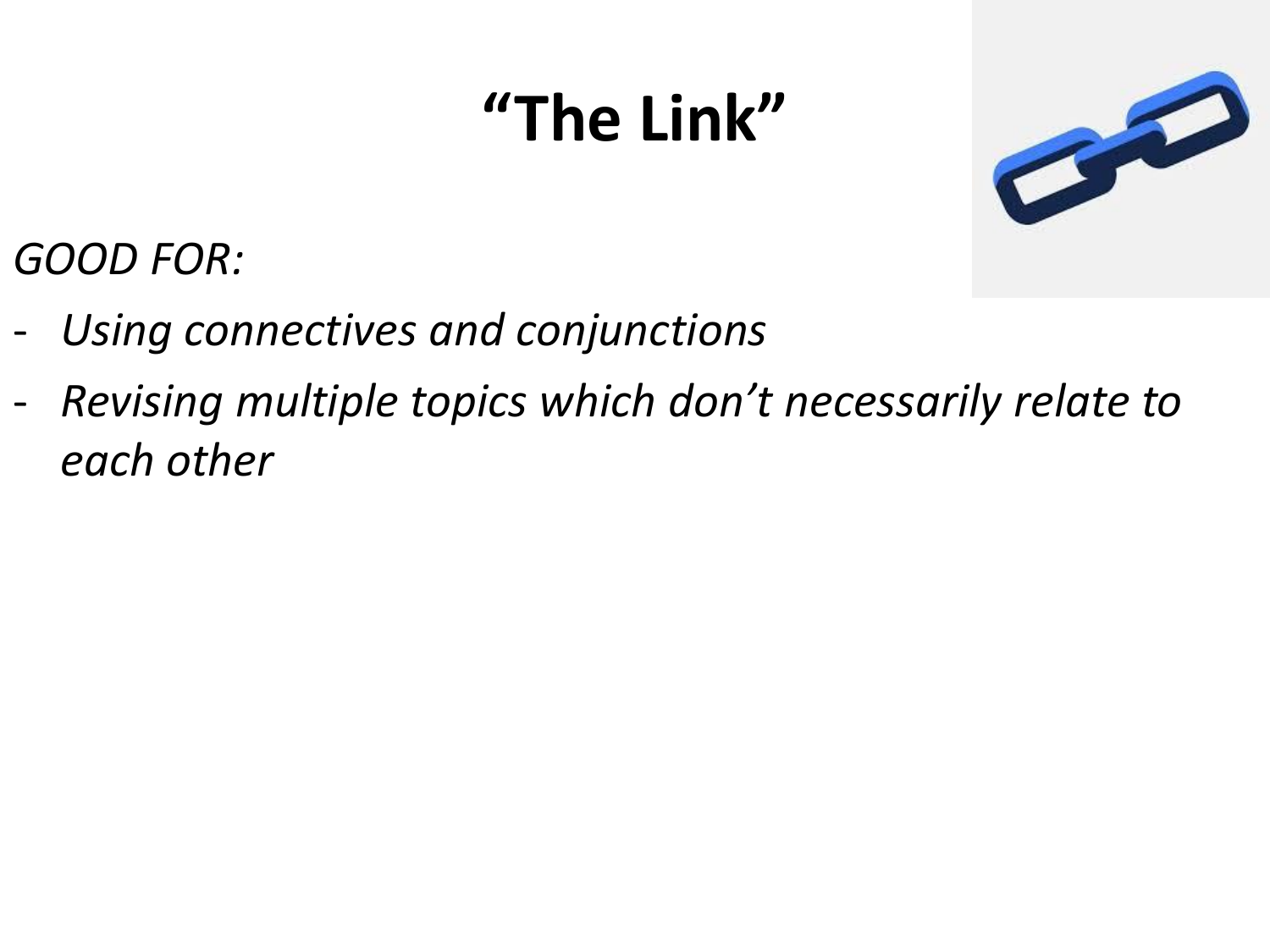#### **"The Link"**



*GOOD FOR:*

- *Using connectives and conjunctions*
- *Revising multiple topics which don't necessarily relate to each other*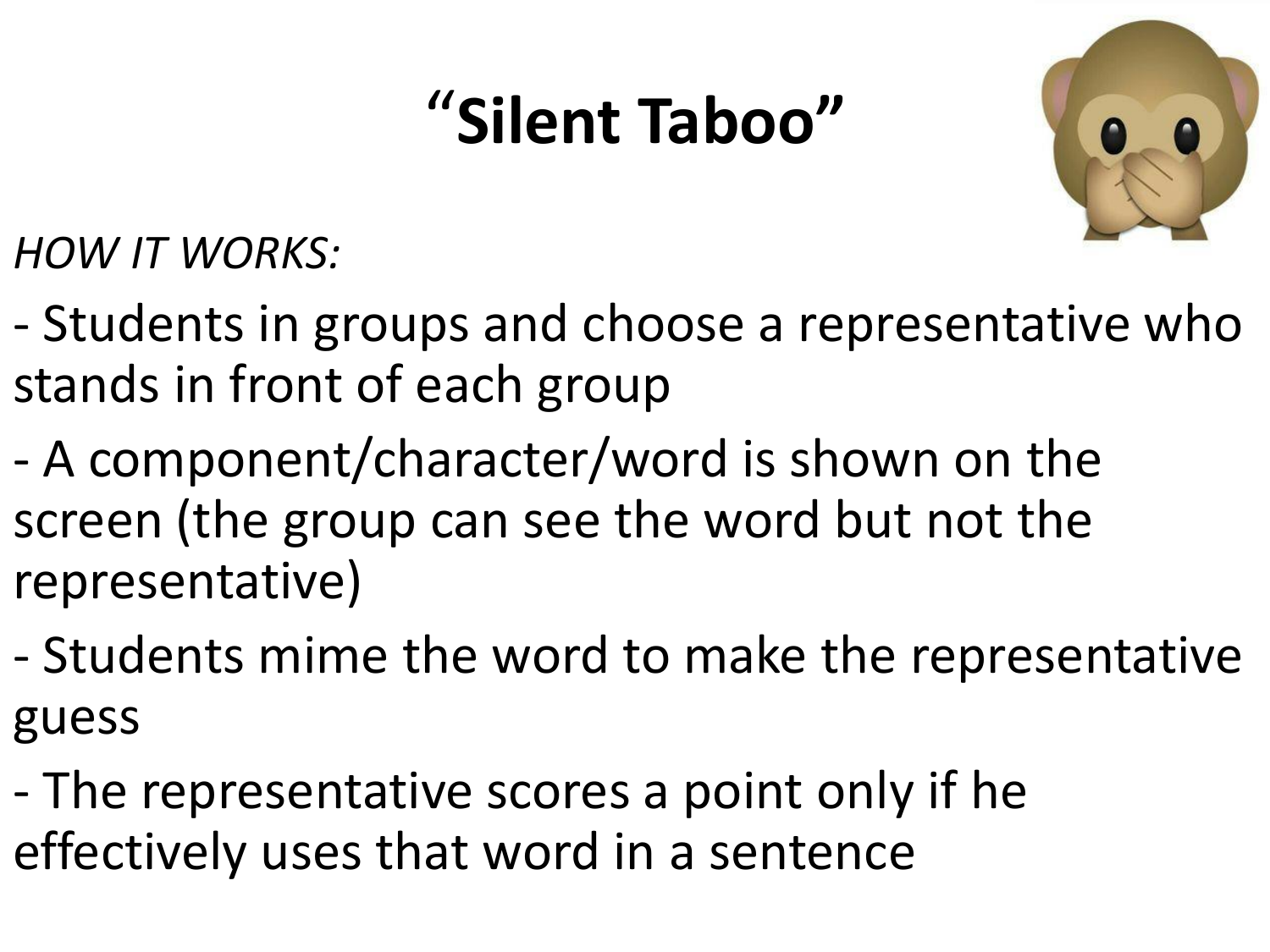#### "**Silent Taboo"**



*HOW IT WORKS:*

- Students in groups and choose a representative who stands in front of each group
- A component/character/word is shown on the screen (the group can see the word but not the representative)
- Students mime the word to make the representative guess
- The representative scores a point only if he effectively uses that word in a sentence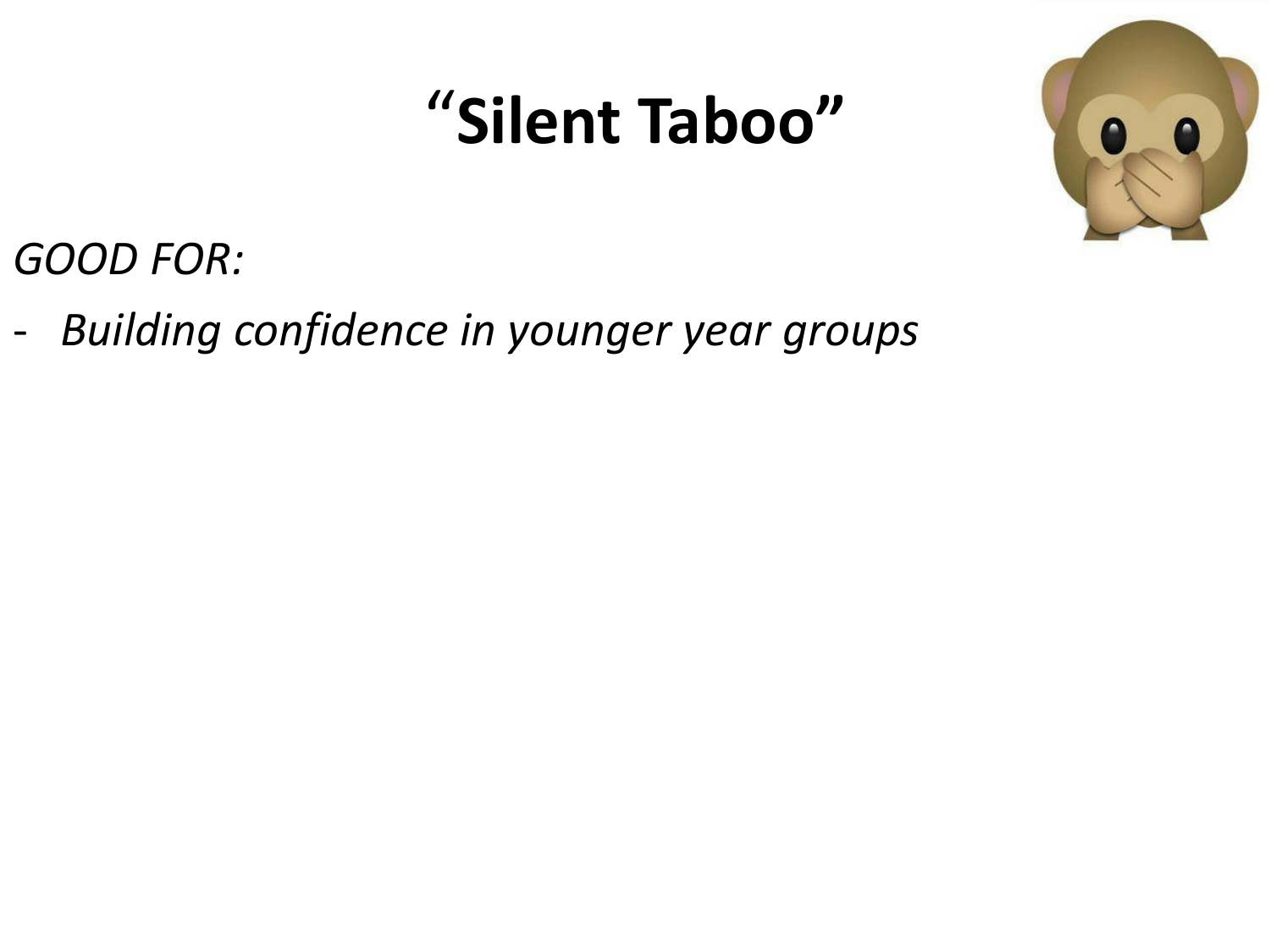#### "**Silent Taboo"**



*GOOD FOR:*

- *Building confidence in younger year groups*